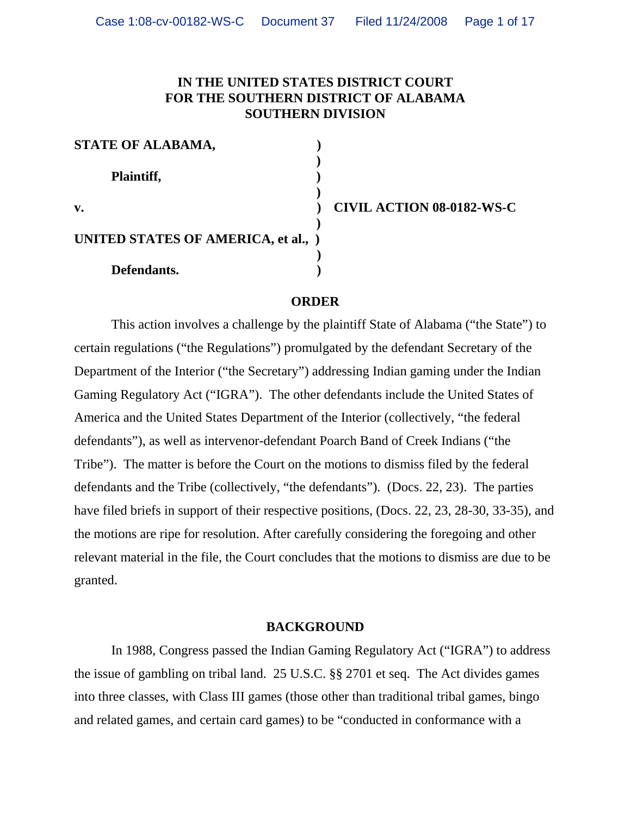# **IN THE UNITED STATES DISTRICT COURT FOR THE SOUTHERN DISTRICT OF ALABAMA SOUTHERN DIVISION**

| STATE OF ALABAMA,                   |  |
|-------------------------------------|--|
|                                     |  |
| Plaintiff,                          |  |
|                                     |  |
| v.                                  |  |
|                                     |  |
| UNITED STATES OF AMERICA, et al., ) |  |
|                                     |  |
| Defendants.                         |  |

**v. ) CIVIL ACTION 08-0182-WS-C**

#### **ORDER**

This action involves a challenge by the plaintiff State of Alabama ("the State") to certain regulations ("the Regulations") promulgated by the defendant Secretary of the Department of the Interior ("the Secretary") addressing Indian gaming under the Indian Gaming Regulatory Act ("IGRA"). The other defendants include the United States of America and the United States Department of the Interior (collectively, "the federal defendants"), as well as intervenor-defendant Poarch Band of Creek Indians ("the Tribe"). The matter is before the Court on the motions to dismiss filed by the federal defendants and the Tribe (collectively, "the defendants"). (Docs. 22, 23). The parties have filed briefs in support of their respective positions, (Docs. 22, 23, 28-30, 33-35), and the motions are ripe for resolution. After carefully considering the foregoing and other relevant material in the file, the Court concludes that the motions to dismiss are due to be granted.

#### **BACKGROUND**

In 1988, Congress passed the Indian Gaming Regulatory Act ("IGRA") to address the issue of gambling on tribal land. 25 U.S.C. §§ 2701 et seq. The Act divides games into three classes, with Class III games (those other than traditional tribal games, bingo and related games, and certain card games) to be "conducted in conformance with a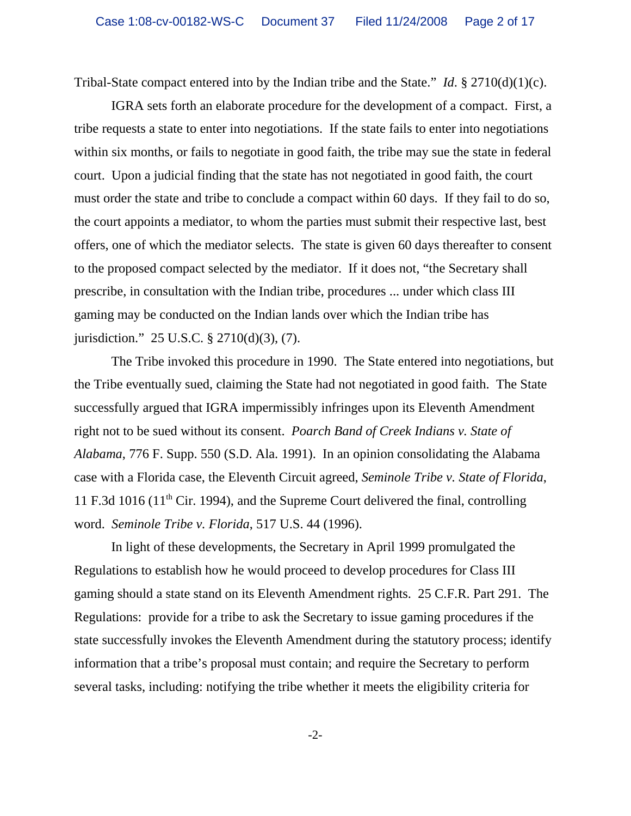Tribal-State compact entered into by the Indian tribe and the State." *Id*. § 2710(d)(1)(c).

IGRA sets forth an elaborate procedure for the development of a compact. First, a tribe requests a state to enter into negotiations. If the state fails to enter into negotiations within six months, or fails to negotiate in good faith, the tribe may sue the state in federal court. Upon a judicial finding that the state has not negotiated in good faith, the court must order the state and tribe to conclude a compact within 60 days. If they fail to do so, the court appoints a mediator, to whom the parties must submit their respective last, best offers, one of which the mediator selects. The state is given 60 days thereafter to consent to the proposed compact selected by the mediator. If it does not, "the Secretary shall prescribe, in consultation with the Indian tribe, procedures ... under which class III gaming may be conducted on the Indian lands over which the Indian tribe has jurisdiction." 25 U.S.C. § 2710(d)(3), (7).

The Tribe invoked this procedure in 1990. The State entered into negotiations, but the Tribe eventually sued, claiming the State had not negotiated in good faith. The State successfully argued that IGRA impermissibly infringes upon its Eleventh Amendment right not to be sued without its consent. *Poarch Band of Creek Indians v. State of Alabama*, 776 F. Supp. 550 (S.D. Ala. 1991). In an opinion consolidating the Alabama case with a Florida case, the Eleventh Circuit agreed, *Seminole Tribe v. State of Florida*, 11 F.3d 1016 ( $11<sup>th</sup>$  Cir. 1994), and the Supreme Court delivered the final, controlling word. *Seminole Tribe v. Florida*, 517 U.S. 44 (1996).

In light of these developments, the Secretary in April 1999 promulgated the Regulations to establish how he would proceed to develop procedures for Class III gaming should a state stand on its Eleventh Amendment rights. 25 C.F.R. Part 291. The Regulations: provide for a tribe to ask the Secretary to issue gaming procedures if the state successfully invokes the Eleventh Amendment during the statutory process; identify information that a tribe's proposal must contain; and require the Secretary to perform several tasks, including: notifying the tribe whether it meets the eligibility criteria for

-2-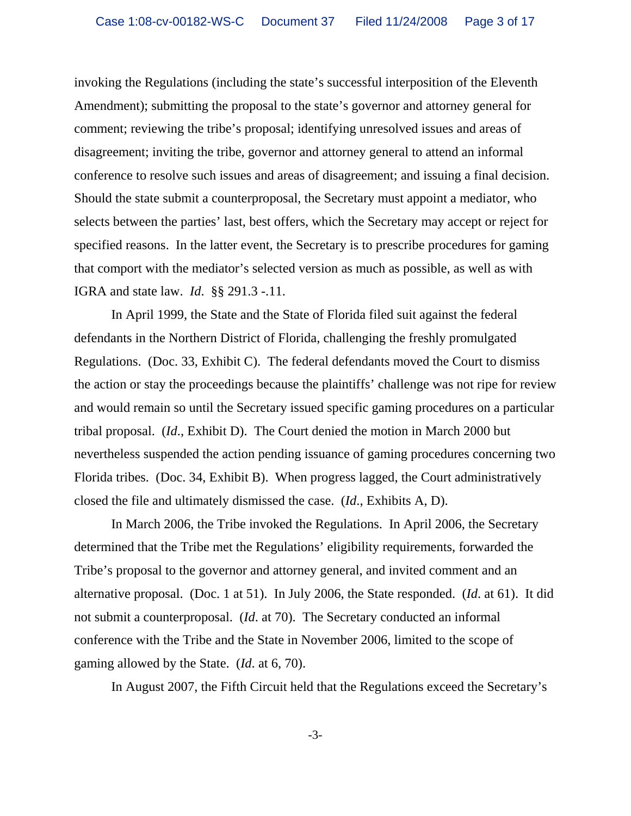invoking the Regulations (including the state's successful interposition of the Eleventh Amendment); submitting the proposal to the state's governor and attorney general for comment; reviewing the tribe's proposal; identifying unresolved issues and areas of disagreement; inviting the tribe, governor and attorney general to attend an informal conference to resolve such issues and areas of disagreement; and issuing a final decision. Should the state submit a counterproposal, the Secretary must appoint a mediator, who selects between the parties' last, best offers, which the Secretary may accept or reject for specified reasons. In the latter event, the Secretary is to prescribe procedures for gaming that comport with the mediator's selected version as much as possible, as well as with IGRA and state law. *Id*. §§ 291.3 -.11.

In April 1999, the State and the State of Florida filed suit against the federal defendants in the Northern District of Florida, challenging the freshly promulgated Regulations. (Doc. 33, Exhibit C). The federal defendants moved the Court to dismiss the action or stay the proceedings because the plaintiffs' challenge was not ripe for review and would remain so until the Secretary issued specific gaming procedures on a particular tribal proposal. (*Id*., Exhibit D). The Court denied the motion in March 2000 but nevertheless suspended the action pending issuance of gaming procedures concerning two Florida tribes. (Doc. 34, Exhibit B). When progress lagged, the Court administratively closed the file and ultimately dismissed the case. (*Id*., Exhibits A, D).

In March 2006, the Tribe invoked the Regulations. In April 2006, the Secretary determined that the Tribe met the Regulations' eligibility requirements, forwarded the Tribe's proposal to the governor and attorney general, and invited comment and an alternative proposal. (Doc. 1 at 51). In July 2006, the State responded. (*Id*. at 61). It did not submit a counterproposal. (*Id*. at 70). The Secretary conducted an informal conference with the Tribe and the State in November 2006, limited to the scope of gaming allowed by the State. (*Id*. at 6, 70).

In August 2007, the Fifth Circuit held that the Regulations exceed the Secretary's

-3-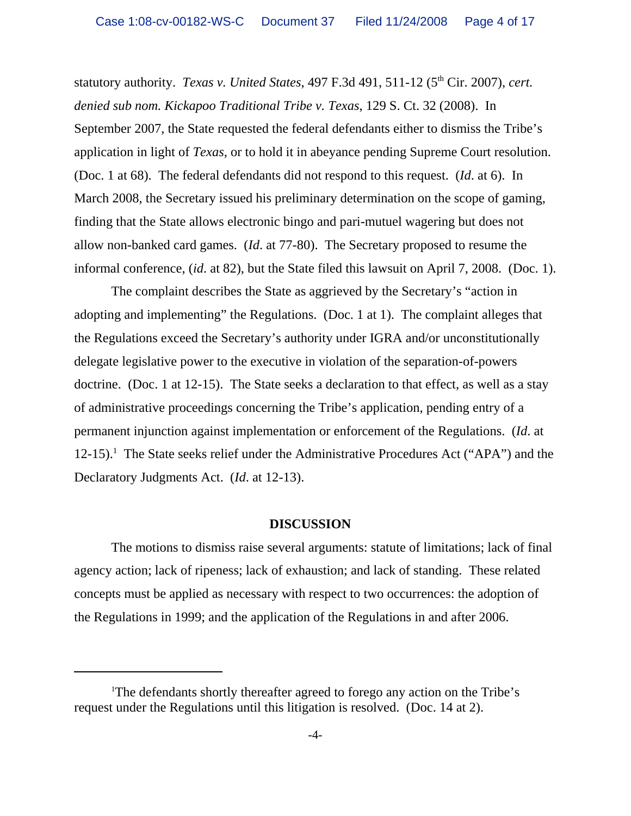statutory authority. *Texas v. United States*, 497 F.3d 491, 511-12 (5<sup>th</sup> Cir. 2007), *cert. denied sub nom. Kickapoo Traditional Tribe v. Texas*, 129 S. Ct. 32 (2008). In September 2007, the State requested the federal defendants either to dismiss the Tribe's application in light of *Texas*, or to hold it in abeyance pending Supreme Court resolution. (Doc. 1 at 68). The federal defendants did not respond to this request. (*Id*. at 6). In March 2008, the Secretary issued his preliminary determination on the scope of gaming, finding that the State allows electronic bingo and pari-mutuel wagering but does not allow non-banked card games. (*Id*. at 77-80). The Secretary proposed to resume the informal conference, (*id*. at 82), but the State filed this lawsuit on April 7, 2008. (Doc. 1).

The complaint describes the State as aggrieved by the Secretary's "action in adopting and implementing" the Regulations. (Doc. 1 at 1). The complaint alleges that the Regulations exceed the Secretary's authority under IGRA and/or unconstitutionally delegate legislative power to the executive in violation of the separation-of-powers doctrine. (Doc. 1 at 12-15). The State seeks a declaration to that effect, as well as a stay of administrative proceedings concerning the Tribe's application, pending entry of a permanent injunction against implementation or enforcement of the Regulations. (*Id*. at 12-15).<sup>1</sup> The State seeks relief under the Administrative Procedures Act ("APA") and the Declaratory Judgments Act. (*Id*. at 12-13).

#### **DISCUSSION**

The motions to dismiss raise several arguments: statute of limitations; lack of final agency action; lack of ripeness; lack of exhaustion; and lack of standing. These related concepts must be applied as necessary with respect to two occurrences: the adoption of the Regulations in 1999; and the application of the Regulations in and after 2006.

<sup>&</sup>lt;sup>1</sup>The defendants shortly thereafter agreed to forego any action on the Tribe's request under the Regulations until this litigation is resolved. (Doc. 14 at 2).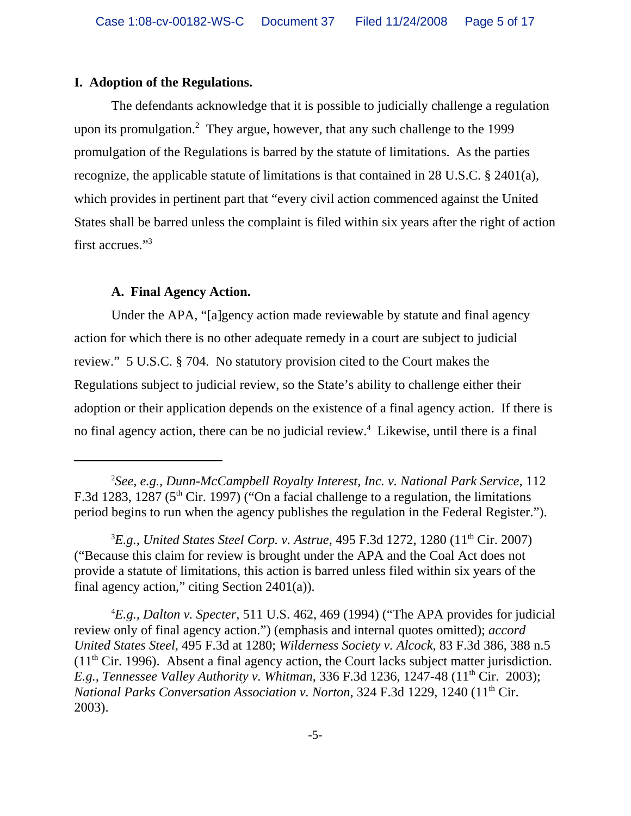## **I. Adoption of the Regulations.**

The defendants acknowledge that it is possible to judicially challenge a regulation upon its promulgation.<sup>2</sup> They argue, however, that any such challenge to the 1999 promulgation of the Regulations is barred by the statute of limitations. As the parties recognize, the applicable statute of limitations is that contained in 28 U.S.C. § 2401(a), which provides in pertinent part that "every civil action commenced against the United States shall be barred unless the complaint is filed within six years after the right of action first accrues."3

## **A. Final Agency Action.**

Under the APA, "[a]gency action made reviewable by statute and final agency action for which there is no other adequate remedy in a court are subject to judicial review." 5 U.S.C. § 704. No statutory provision cited to the Court makes the Regulations subject to judicial review, so the State's ability to challenge either their adoption or their application depends on the existence of a final agency action. If there is no final agency action, there can be no judicial review.<sup>4</sup> Likewise, until there is a final

<sup>2</sup> *See, e.g., Dunn-McCampbell Royalty Interest, Inc. v. National Park Service*, 112 F.3d 1283, 1287 (5<sup>th</sup> Cir. 1997) ("On a facial challenge to a regulation, the limitations period begins to run when the agency publishes the regulation in the Federal Register.").

<sup>&</sup>lt;sup>3</sup>E.g., United States Steel Corp. v. Astrue, 495 F.3d 1272, 1280 (11<sup>th</sup> Cir. 2007) ("Because this claim for review is brought under the APA and the Coal Act does not provide a statute of limitations, this action is barred unless filed within six years of the final agency action," citing Section 2401(a)).

<sup>4</sup> *E.g., Dalton v. Specter*, 511 U.S. 462, 469 (1994) ("The APA provides for judicial review only of final agency action.") (emphasis and internal quotes omitted); *accord United States Steel*, 495 F.3d at 1280; *Wilderness Society v. Alcock*, 83 F.3d 386, 388 n.5  $(11<sup>th</sup> Cir. 1996)$ . Absent a final agency action, the Court lacks subject matter jurisdiction. *E.g., Tennessee Valley Authority v. Whitman,* 336 F.3d 1236, 1247-48 (11<sup>th</sup> Cir. 2003); *National Parks Conversation Association v. Norton, 324 F.3d 1229, 1240 (11<sup>th</sup> Cir.* 2003).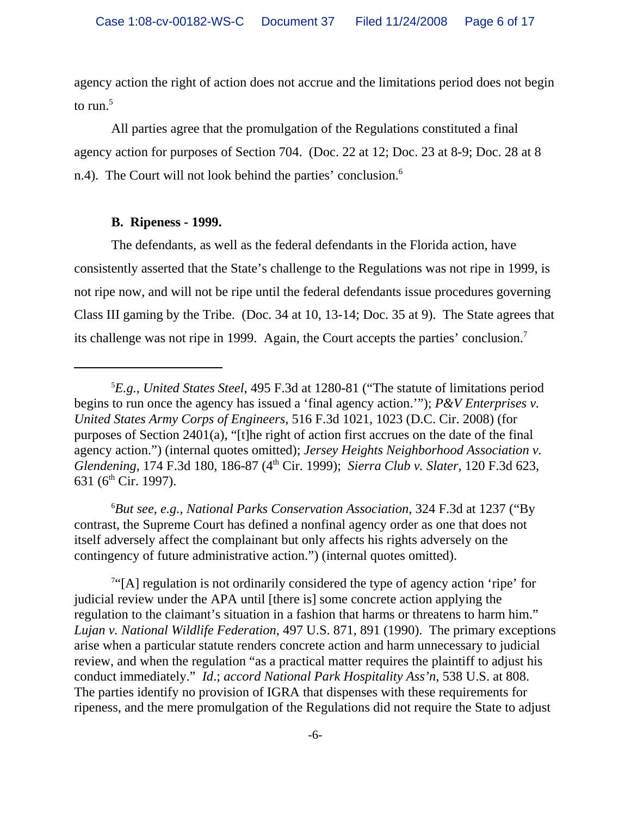agency action the right of action does not accrue and the limitations period does not begin to  $run<sup>5</sup>$ 

All parties agree that the promulgation of the Regulations constituted a final agency action for purposes of Section 704. (Doc. 22 at 12; Doc. 23 at 8-9; Doc. 28 at 8 n.4). The Court will not look behind the parties' conclusion.<sup>6</sup>

# **B. Ripeness - 1999.**

The defendants, as well as the federal defendants in the Florida action, have consistently asserted that the State's challenge to the Regulations was not ripe in 1999, is not ripe now, and will not be ripe until the federal defendants issue procedures governing Class III gaming by the Tribe. (Doc. 34 at 10, 13-14; Doc. 35 at 9). The State agrees that its challenge was not ripe in 1999. Again, the Court accepts the parties' conclusion.7

6 *But see, e.g., National Parks Conservation Association*, 324 F.3d at 1237 ("By contrast, the Supreme Court has defined a nonfinal agency order as one that does not itself adversely affect the complainant but only affects his rights adversely on the contingency of future administrative action.") (internal quotes omitted).

<sup>7"</sup>[A] regulation is not ordinarily considered the type of agency action 'ripe' for judicial review under the APA until [there is] some concrete action applying the regulation to the claimant's situation in a fashion that harms or threatens to harm him." *Lujan v. National Wildlife Federation*, 497 U.S. 871, 891 (1990). The primary exceptions arise when a particular statute renders concrete action and harm unnecessary to judicial review, and when the regulation "as a practical matter requires the plaintiff to adjust his conduct immediately." *Id*.; *accord National Park Hospitality Ass'n*, 538 U.S. at 808. The parties identify no provision of IGRA that dispenses with these requirements for ripeness, and the mere promulgation of the Regulations did not require the State to adjust

<sup>5</sup> *E.g., United States Steel*, 495 F.3d at 1280-81 ("The statute of limitations period begins to run once the agency has issued a 'final agency action.'"); *P&V Enterprises v. United States Army Corps of Engineers*, 516 F.3d 1021, 1023 (D.C. Cir. 2008) (for purposes of Section 2401(a), "[t]he right of action first accrues on the date of the final agency action.") (internal quotes omitted); *Jersey Heights Neighborhood Association v. Glendening*, 174 F.3d 180, 186-87 (4th Cir. 1999); *Sierra Club v. Slater*, 120 F.3d 623, 631 ( $6<sup>th</sup>$  Cir. 1997).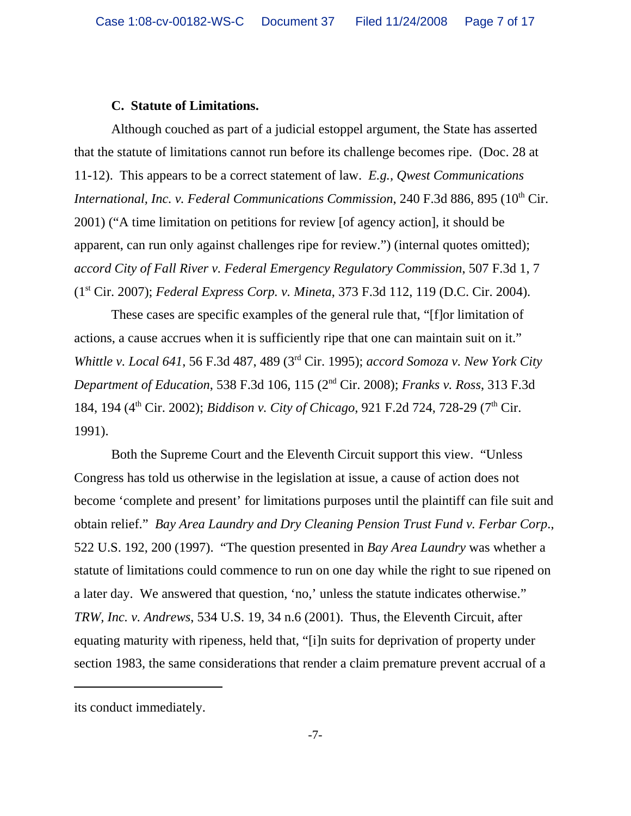## **C. Statute of Limitations.**

Although couched as part of a judicial estoppel argument, the State has asserted that the statute of limitations cannot run before its challenge becomes ripe. (Doc. 28 at 11-12). This appears to be a correct statement of law. *E.g., Qwest Communications International, Inc. v. Federal Communications Commission, 240 F.3d 886, 895 (10<sup>th</sup> Cir.* 2001) ("A time limitation on petitions for review [of agency action], it should be apparent, can run only against challenges ripe for review.") (internal quotes omitted); *accord City of Fall River v. Federal Emergency Regulatory Commission*, 507 F.3d 1, 7 (1st Cir. 2007); *Federal Express Corp. v. Mineta*, 373 F.3d 112, 119 (D.C. Cir. 2004).

These cases are specific examples of the general rule that, "[f]or limitation of actions, a cause accrues when it is sufficiently ripe that one can maintain suit on it." *Whittle v. Local 641*, 56 F.3d 487, 489 (3rd Cir. 1995); *accord Somoza v. New York City Department of Education*, 538 F.3d 106, 115 (2nd Cir. 2008); *Franks v. Ross*, 313 F.3d 184, 194 (4<sup>th</sup> Cir. 2002); *Biddison v. City of Chicago*, 921 F.2d 724, 728-29 (7<sup>th</sup> Cir. 1991).

Both the Supreme Court and the Eleventh Circuit support this view. "Unless Congress has told us otherwise in the legislation at issue, a cause of action does not become 'complete and present' for limitations purposes until the plaintiff can file suit and obtain relief." *Bay Area Laundry and Dry Cleaning Pension Trust Fund v. Ferbar Corp*., 522 U.S. 192, 200 (1997). "The question presented in *Bay Area Laundry* was whether a statute of limitations could commence to run on one day while the right to sue ripened on a later day. We answered that question, 'no,' unless the statute indicates otherwise." *TRW, Inc. v. Andrews*, 534 U.S. 19, 34 n.6 (2001). Thus, the Eleventh Circuit, after equating maturity with ripeness, held that, "[i]n suits for deprivation of property under section 1983, the same considerations that render a claim premature prevent accrual of a

its conduct immediately.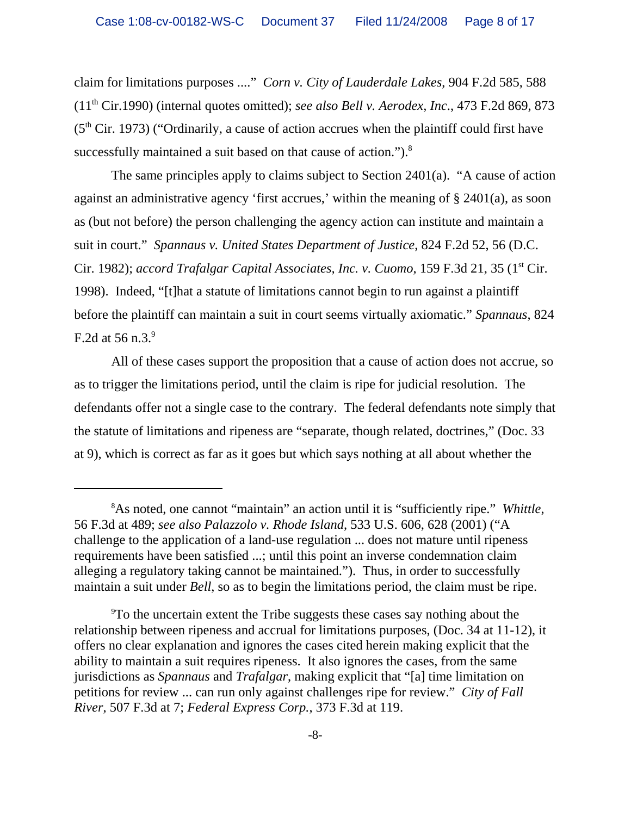claim for limitations purposes ...." *Corn v. City of Lauderdale Lakes*, 904 F.2d 585, 588 (11th Cir.1990) (internal quotes omitted); *see also Bell v. Aerodex, Inc*., 473 F.2d 869, 873  $(5<sup>th</sup> Cir. 1973)$  ("Ordinarily, a cause of action accrues when the plaintiff could first have successfully maintained a suit based on that cause of action.").<sup>8</sup>

The same principles apply to claims subject to Section 2401(a). "A cause of action against an administrative agency 'first accrues,' within the meaning of § 2401(a), as soon as (but not before) the person challenging the agency action can institute and maintain a suit in court." *Spannaus v. United States Department of Justice*, 824 F.2d 52, 56 (D.C. Cir. 1982); *accord Trafalgar Capital Associates, Inc. v. Cuomo*, 159 F.3d 21, 35 (1<sup>st</sup> Cir. 1998). Indeed, "[t]hat a statute of limitations cannot begin to run against a plaintiff before the plaintiff can maintain a suit in court seems virtually axiomatic." *Spannaus*, 824 F.2d at 56 n.3. $9$ 

 All of these cases support the proposition that a cause of action does not accrue, so as to trigger the limitations period, until the claim is ripe for judicial resolution. The defendants offer not a single case to the contrary. The federal defendants note simply that the statute of limitations and ripeness are "separate, though related, doctrines," (Doc. 33 at 9), which is correct as far as it goes but which says nothing at all about whether the

<sup>8</sup> As noted, one cannot "maintain" an action until it is "sufficiently ripe." *Whittle*, 56 F.3d at 489; *see also Palazzolo v. Rhode Island*, 533 U.S. 606, 628 (2001) ("A challenge to the application of a land-use regulation ... does not mature until ripeness requirements have been satisfied ...; until this point an inverse condemnation claim alleging a regulatory taking cannot be maintained."). Thus, in order to successfully maintain a suit under *Bell*, so as to begin the limitations period, the claim must be ripe.

<sup>9</sup> To the uncertain extent the Tribe suggests these cases say nothing about the relationship between ripeness and accrual for limitations purposes, (Doc. 34 at 11-12), it offers no clear explanation and ignores the cases cited herein making explicit that the ability to maintain a suit requires ripeness. It also ignores the cases, from the same jurisdictions as *Spannaus* and *Trafalgar*, making explicit that "[a] time limitation on petitions for review ... can run only against challenges ripe for review." *City of Fall River*, 507 F.3d at 7; *Federal Express Corp.*, 373 F.3d at 119.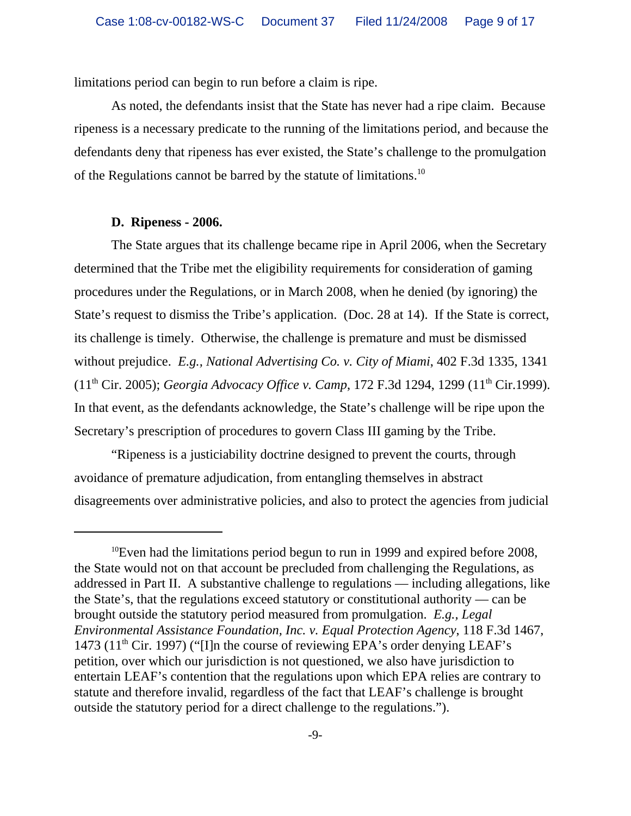limitations period can begin to run before a claim is ripe.

As noted, the defendants insist that the State has never had a ripe claim. Because ripeness is a necessary predicate to the running of the limitations period, and because the defendants deny that ripeness has ever existed, the State's challenge to the promulgation of the Regulations cannot be barred by the statute of limitations.10

#### **D. Ripeness - 2006.**

The State argues that its challenge became ripe in April 2006, when the Secretary determined that the Tribe met the eligibility requirements for consideration of gaming procedures under the Regulations, or in March 2008, when he denied (by ignoring) the State's request to dismiss the Tribe's application. (Doc. 28 at 14). If the State is correct, its challenge is timely. Otherwise, the challenge is premature and must be dismissed without prejudice. *E.g., National Advertising Co. v. City of Miami*, 402 F.3d 1335, 1341 (11th Cir. 2005); *Georgia Advocacy Office v. Camp*, 172 F.3d 1294, 1299 (11th Cir.1999). In that event, as the defendants acknowledge, the State's challenge will be ripe upon the Secretary's prescription of procedures to govern Class III gaming by the Tribe.

"Ripeness is a justiciability doctrine designed to prevent the courts, through avoidance of premature adjudication, from entangling themselves in abstract disagreements over administrative policies, and also to protect the agencies from judicial

 $10$ Even had the limitations period begun to run in 1999 and expired before 2008, the State would not on that account be precluded from challenging the Regulations, as addressed in Part II. A substantive challenge to regulations — including allegations, like the State's, that the regulations exceed statutory or constitutional authority — can be brought outside the statutory period measured from promulgation. *E.g., Legal Environmental Assistance Foundation, Inc. v. Equal Protection Agency*, 118 F.3d 1467, 1473 (11<sup>th</sup> Cir. 1997) ("I]n the course of reviewing EPA's order denying LEAF's petition, over which our jurisdiction is not questioned, we also have jurisdiction to entertain LEAF's contention that the regulations upon which EPA relies are contrary to statute and therefore invalid, regardless of the fact that LEAF's challenge is brought outside the statutory period for a direct challenge to the regulations.").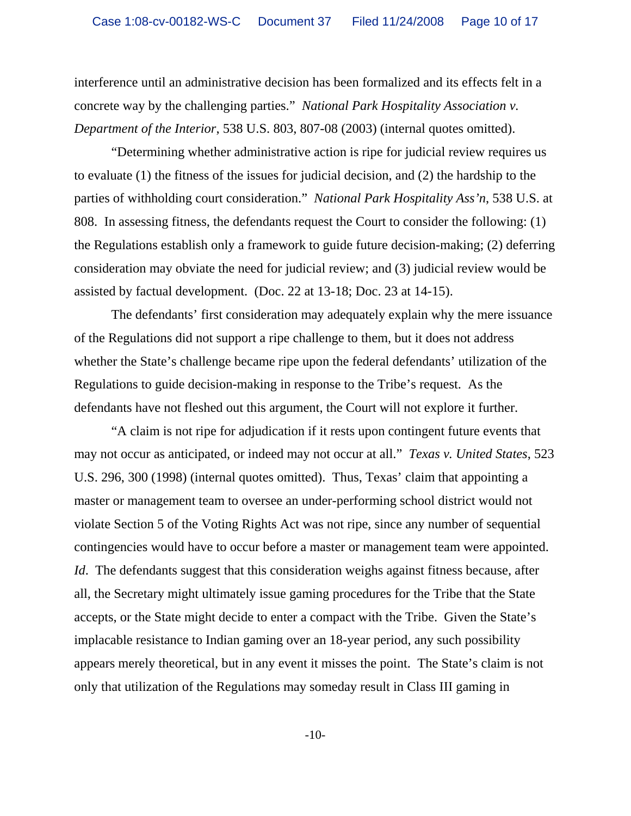interference until an administrative decision has been formalized and its effects felt in a concrete way by the challenging parties." *National Park Hospitality Association v. Department of the Interior*, 538 U.S. 803, 807-08 (2003) (internal quotes omitted).

"Determining whether administrative action is ripe for judicial review requires us to evaluate (1) the fitness of the issues for judicial decision, and (2) the hardship to the parties of withholding court consideration." *National Park Hospitality Ass'n*, 538 U.S. at 808. In assessing fitness, the defendants request the Court to consider the following: (1) the Regulations establish only a framework to guide future decision-making; (2) deferring consideration may obviate the need for judicial review; and (3) judicial review would be assisted by factual development. (Doc. 22 at 13-18; Doc. 23 at 14-15).

The defendants' first consideration may adequately explain why the mere issuance of the Regulations did not support a ripe challenge to them, but it does not address whether the State's challenge became ripe upon the federal defendants' utilization of the Regulations to guide decision-making in response to the Tribe's request. As the defendants have not fleshed out this argument, the Court will not explore it further.

"A claim is not ripe for adjudication if it rests upon contingent future events that may not occur as anticipated, or indeed may not occur at all." *Texas v. United States*, 523 U.S. 296, 300 (1998) (internal quotes omitted). Thus, Texas' claim that appointing a master or management team to oversee an under-performing school district would not violate Section 5 of the Voting Rights Act was not ripe, since any number of sequential contingencies would have to occur before a master or management team were appointed. *Id.* The defendants suggest that this consideration weighs against fitness because, after all, the Secretary might ultimately issue gaming procedures for the Tribe that the State accepts, or the State might decide to enter a compact with the Tribe. Given the State's implacable resistance to Indian gaming over an 18-year period, any such possibility appears merely theoretical, but in any event it misses the point. The State's claim is not only that utilization of the Regulations may someday result in Class III gaming in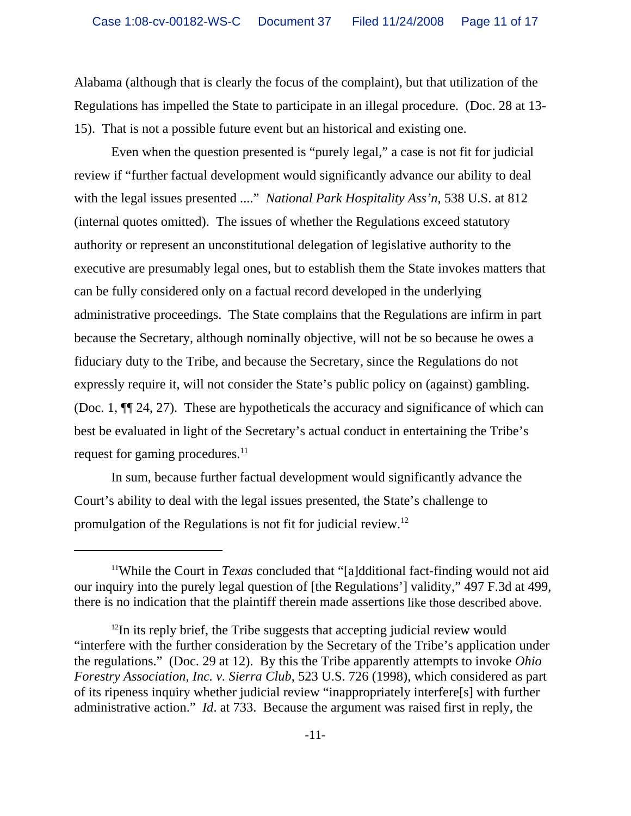Alabama (although that is clearly the focus of the complaint), but that utilization of the Regulations has impelled the State to participate in an illegal procedure. (Doc. 28 at 13- 15). That is not a possible future event but an historical and existing one.

Even when the question presented is "purely legal," a case is not fit for judicial review if "further factual development would significantly advance our ability to deal with the legal issues presented ...." *National Park Hospitality Ass'n*, 538 U.S. at 812 (internal quotes omitted). The issues of whether the Regulations exceed statutory authority or represent an unconstitutional delegation of legislative authority to the executive are presumably legal ones, but to establish them the State invokes matters that can be fully considered only on a factual record developed in the underlying administrative proceedings. The State complains that the Regulations are infirm in part because the Secretary, although nominally objective, will not be so because he owes a fiduciary duty to the Tribe, and because the Secretary, since the Regulations do not expressly require it, will not consider the State's public policy on (against) gambling. (Doc. 1, ¶¶ 24, 27). These are hypotheticals the accuracy and significance of which can best be evaluated in light of the Secretary's actual conduct in entertaining the Tribe's request for gaming procedures.<sup>11</sup>

In sum, because further factual development would significantly advance the Court's ability to deal with the legal issues presented, the State's challenge to promulgation of the Regulations is not fit for judicial review.12

<sup>11</sup>While the Court in *Texas* concluded that "[a]dditional fact-finding would not aid our inquiry into the purely legal question of [the Regulations'] validity," 497 F.3d at 499, there is no indication that the plaintiff therein made assertions like those described above.

 $12$ In its reply brief, the Tribe suggests that accepting judicial review would "interfere with the further consideration by the Secretary of the Tribe's application under the regulations." (Doc. 29 at 12). By this the Tribe apparently attempts to invoke *Ohio Forestry Association, Inc. v. Sierra Club*, 523 U.S. 726 (1998), which considered as part of its ripeness inquiry whether judicial review "inappropriately interfere[s] with further administrative action." *Id*. at 733. Because the argument was raised first in reply, the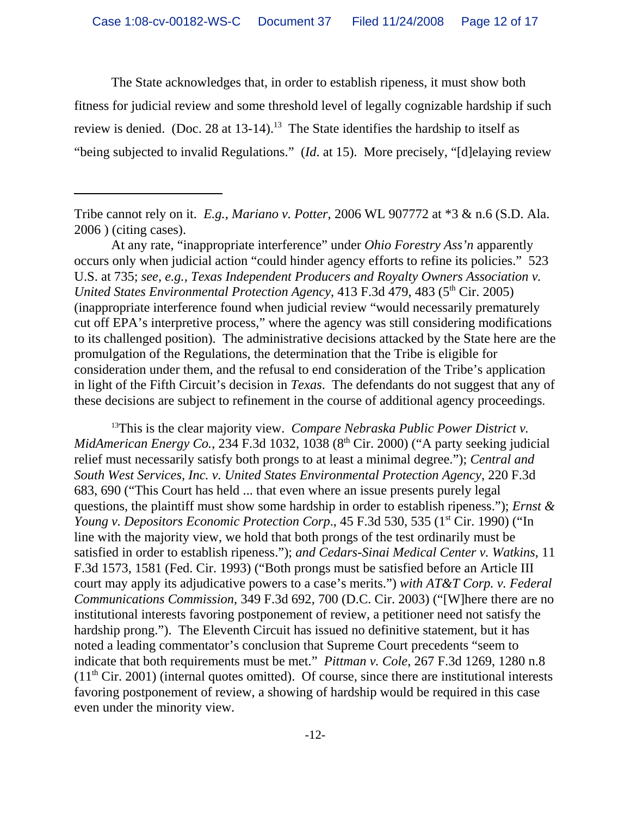The State acknowledges that, in order to establish ripeness, it must show both fitness for judicial review and some threshold level of legally cognizable hardship if such review is denied. (Doc. 28 at  $13-14$ ).<sup>13</sup> The State identifies the hardship to itself as "being subjected to invalid Regulations." (*Id*. at 15). More precisely, "[d]elaying review

At any rate, "inappropriate interference" under *Ohio Forestry Ass'n* apparently occurs only when judicial action "could hinder agency efforts to refine its policies." 523 U.S. at 735; *see, e.g., Texas Independent Producers and Royalty Owners Association v. United States Environmental Protection Agency*, 413 F.3d 479, 483 (5<sup>th</sup> Cir. 2005) (inappropriate interference found when judicial review "would necessarily prematurely cut off EPA's interpretive process," where the agency was still considering modifications to its challenged position). The administrative decisions attacked by the State here are the promulgation of the Regulations, the determination that the Tribe is eligible for consideration under them, and the refusal to end consideration of the Tribe's application in light of the Fifth Circuit's decision in *Texas*. The defendants do not suggest that any of these decisions are subject to refinement in the course of additional agency proceedings.

13This is the clear majority view. *Compare Nebraska Public Power District v. MidAmerican Energy Co.*, 234 F.3d 1032, 1038 (8<sup>th</sup> Cir. 2000) ("A party seeking judicial relief must necessarily satisfy both prongs to at least a minimal degree."); *Central and South West Services, Inc. v. United States Environmental Protection Agency*, 220 F.3d 683, 690 ("This Court has held ... that even where an issue presents purely legal questions, the plaintiff must show some hardship in order to establish ripeness."); *Ernst & Young v. Depositors Economic Protection Corp.*, 45 F.3d 530, 535 (1<sup>st</sup> Cir. 1990) ("In line with the majority view, we hold that both prongs of the test ordinarily must be satisfied in order to establish ripeness."); *and Cedars-Sinai Medical Center v. Watkins*, 11 F.3d 1573, 1581 (Fed. Cir. 1993) ("Both prongs must be satisfied before an Article III court may apply its adjudicative powers to a case's merits.") *with AT&T Corp. v. Federal Communications Commission*, 349 F.3d 692, 700 (D.C. Cir. 2003) ("[W]here there are no institutional interests favoring postponement of review, a petitioner need not satisfy the hardship prong."). The Eleventh Circuit has issued no definitive statement, but it has noted a leading commentator's conclusion that Supreme Court precedents "seem to indicate that both requirements must be met." *Pittman v. Cole*, 267 F.3d 1269, 1280 n.8  $(11<sup>th</sup> Cir. 2001)$  (internal quotes omitted). Of course, since there are institutional interests favoring postponement of review, a showing of hardship would be required in this case even under the minority view.

Tribe cannot rely on it. *E.g., Mariano v. Potter*, 2006 WL 907772 at \*3 & n.6 (S.D. Ala. 2006 ) (citing cases).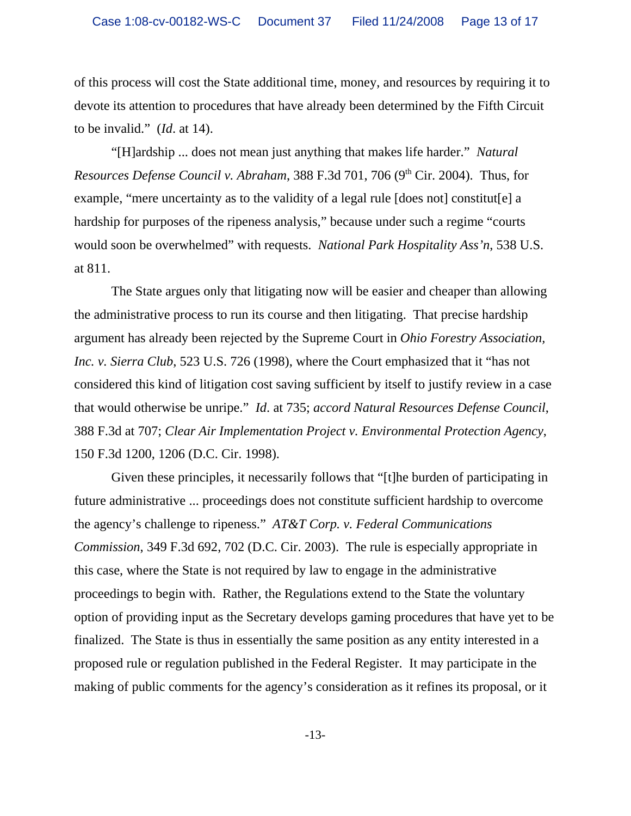of this process will cost the State additional time, money, and resources by requiring it to devote its attention to procedures that have already been determined by the Fifth Circuit to be invalid." (*Id*. at 14).

"[H]ardship ... does not mean just anything that makes life harder." *Natural Resources Defense Council v. Abraham,* 388 F.3d 701, 706 (9<sup>th</sup> Cir. 2004). Thus, for example, "mere uncertainty as to the validity of a legal rule [does not] constitut[e] a hardship for purposes of the ripeness analysis," because under such a regime "courts would soon be overwhelmed" with requests. *National Park Hospitality Ass'n*, 538 U.S. at 811.

The State argues only that litigating now will be easier and cheaper than allowing the administrative process to run its course and then litigating. That precise hardship argument has already been rejected by the Supreme Court in *Ohio Forestry Association, Inc. v. Sierra Club*, 523 U.S. 726 (1998), where the Court emphasized that it "has not considered this kind of litigation cost saving sufficient by itself to justify review in a case that would otherwise be unripe." *Id*. at 735; *accord Natural Resources Defense Council*, 388 F.3d at 707; *Clear Air Implementation Project v. Environmental Protection Agency*, 150 F.3d 1200, 1206 (D.C. Cir. 1998).

Given these principles, it necessarily follows that "[t]he burden of participating in future administrative ... proceedings does not constitute sufficient hardship to overcome the agency's challenge to ripeness." *AT&T Corp. v. Federal Communications Commission*, 349 F.3d 692, 702 (D.C. Cir. 2003). The rule is especially appropriate in this case, where the State is not required by law to engage in the administrative proceedings to begin with. Rather, the Regulations extend to the State the voluntary option of providing input as the Secretary develops gaming procedures that have yet to be finalized. The State is thus in essentially the same position as any entity interested in a proposed rule or regulation published in the Federal Register. It may participate in the making of public comments for the agency's consideration as it refines its proposal, or it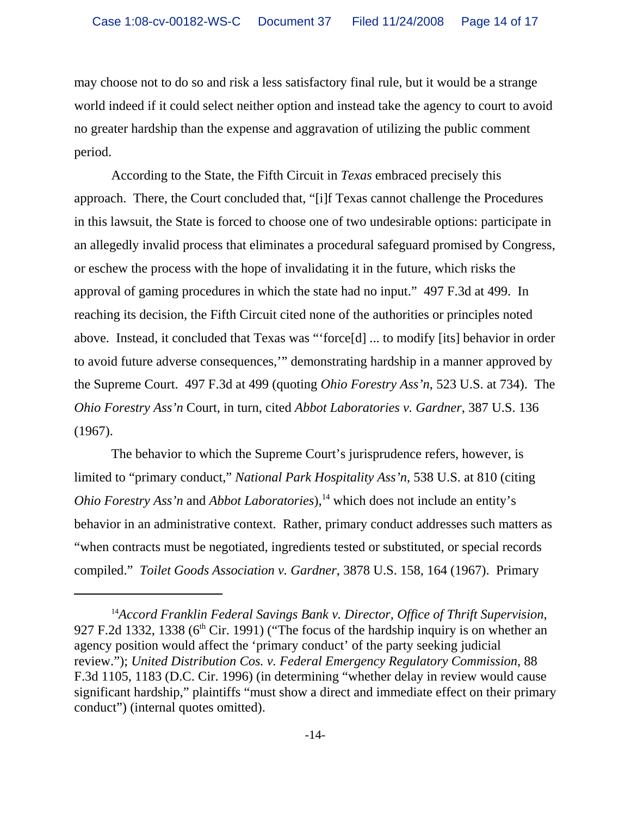may choose not to do so and risk a less satisfactory final rule, but it would be a strange world indeed if it could select neither option and instead take the agency to court to avoid no greater hardship than the expense and aggravation of utilizing the public comment period.

According to the State, the Fifth Circuit in *Texas* embraced precisely this approach. There, the Court concluded that, "[i]f Texas cannot challenge the Procedures in this lawsuit, the State is forced to choose one of two undesirable options: participate in an allegedly invalid process that eliminates a procedural safeguard promised by Congress, or eschew the process with the hope of invalidating it in the future, which risks the approval of gaming procedures in which the state had no input." 497 F.3d at 499. In reaching its decision, the Fifth Circuit cited none of the authorities or principles noted above. Instead, it concluded that Texas was "'force[d] ... to modify [its] behavior in order to avoid future adverse consequences,'" demonstrating hardship in a manner approved by the Supreme Court. 497 F.3d at 499 (quoting *Ohio Forestry Ass'n*, 523 U.S. at 734). The *Ohio Forestry Ass'n* Court, in turn, cited *Abbot Laboratories v. Gardner*, 387 U.S. 136 (1967).

The behavior to which the Supreme Court's jurisprudence refers, however, is limited to "primary conduct," *National Park Hospitality Ass'n*, 538 U.S. at 810 (citing *Ohio Forestry Ass'n* and *Abbot Laboratories*),<sup>14</sup> which does not include an entity's behavior in an administrative context. Rather, primary conduct addresses such matters as "when contracts must be negotiated, ingredients tested or substituted, or special records compiled." *Toilet Goods Association v. Gardner*, 3878 U.S. 158, 164 (1967). Primary

<sup>14</sup>*Accord Franklin Federal Savings Bank v. Director, Office of Thrift Supervision*, 927 F.2d 1332, 1338 ( $6<sup>th</sup>$  Cir. 1991) ("The focus of the hardship inquiry is on whether an agency position would affect the 'primary conduct' of the party seeking judicial review."); *United Distribution Cos. v. Federal Emergency Regulatory Commission*, 88 F.3d 1105, 1183 (D.C. Cir. 1996) (in determining "whether delay in review would cause significant hardship," plaintiffs "must show a direct and immediate effect on their primary conduct") (internal quotes omitted).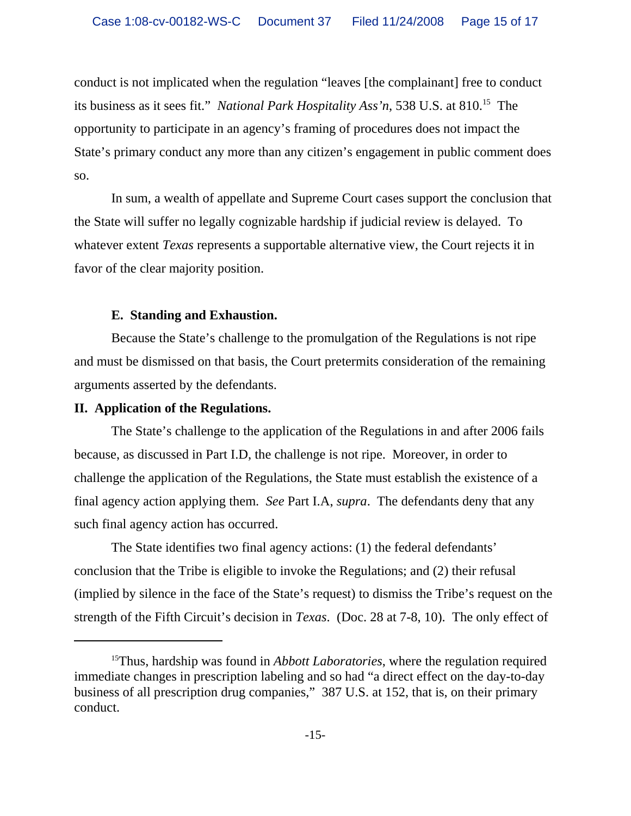conduct is not implicated when the regulation "leaves [the complainant] free to conduct its business as it sees fit." *National Park Hospitality Ass'n*, 538 U.S. at 810.15 The opportunity to participate in an agency's framing of procedures does not impact the State's primary conduct any more than any citizen's engagement in public comment does so.

In sum, a wealth of appellate and Supreme Court cases support the conclusion that the State will suffer no legally cognizable hardship if judicial review is delayed. To whatever extent *Texas* represents a supportable alternative view, the Court rejects it in favor of the clear majority position.

# **E. Standing and Exhaustion.**

Because the State's challenge to the promulgation of the Regulations is not ripe and must be dismissed on that basis, the Court pretermits consideration of the remaining arguments asserted by the defendants.

# **II. Application of the Regulations.**

The State's challenge to the application of the Regulations in and after 2006 fails because, as discussed in Part I.D, the challenge is not ripe. Moreover, in order to challenge the application of the Regulations, the State must establish the existence of a final agency action applying them. *See* Part I.A, *supra*. The defendants deny that any such final agency action has occurred.

The State identifies two final agency actions: (1) the federal defendants' conclusion that the Tribe is eligible to invoke the Regulations; and (2) their refusal (implied by silence in the face of the State's request) to dismiss the Tribe's request on the strength of the Fifth Circuit's decision in *Texas*. (Doc. 28 at 7-8, 10). The only effect of

<sup>15</sup>Thus, hardship was found in *Abbott Laboratories*, where the regulation required immediate changes in prescription labeling and so had "a direct effect on the day-to-day business of all prescription drug companies," 387 U.S. at 152, that is, on their primary conduct.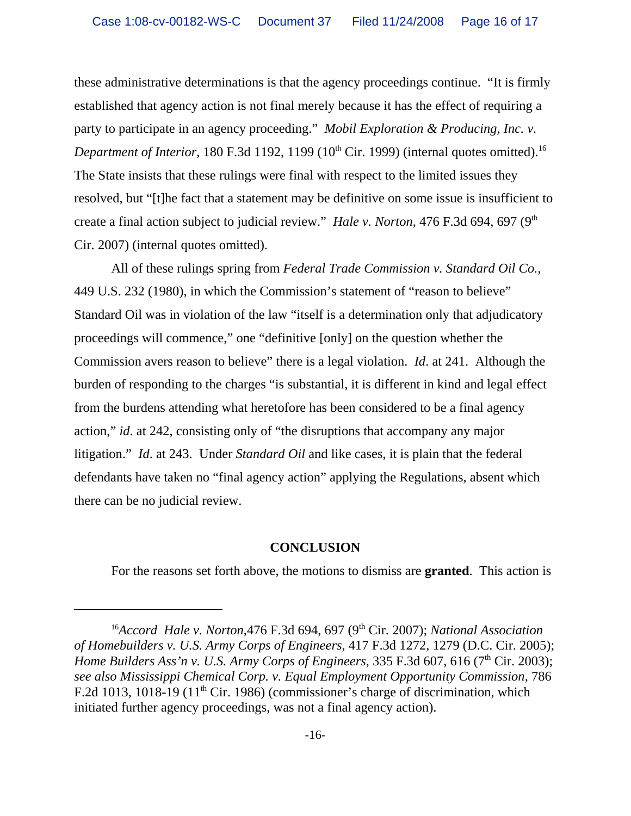these administrative determinations is that the agency proceedings continue. "It is firmly established that agency action is not final merely because it has the effect of requiring a party to participate in an agency proceeding." *Mobil Exploration & Producing, Inc. v. Department of Interior*, 180 F.3d 1192, 1199 (10<sup>th</sup> Cir. 1999) (internal quotes omitted).<sup>16</sup> The State insists that these rulings were final with respect to the limited issues they resolved, but "[t]he fact that a statement may be definitive on some issue is insufficient to create a final action subject to judicial review." *Hale v. Norton*, 476 F.3d 694, 697 (9<sup>th</sup>) Cir. 2007) (internal quotes omitted).

All of these rulings spring from *Federal Trade Commission v. Standard Oil Co.*, 449 U.S. 232 (1980), in which the Commission's statement of "reason to believe" Standard Oil was in violation of the law "itself is a determination only that adjudicatory proceedings will commence," one "definitive [only] on the question whether the Commission avers reason to believe" there is a legal violation. *Id*. at 241. Although the burden of responding to the charges "is substantial, it is different in kind and legal effect from the burdens attending what heretofore has been considered to be a final agency action," *id*. at 242, consisting only of "the disruptions that accompany any major litigation." *Id*. at 243. Under *Standard Oil* and like cases, it is plain that the federal defendants have taken no "final agency action" applying the Regulations, absent which there can be no judicial review.

#### **CONCLUSION**

For the reasons set forth above, the motions to dismiss are **granted**. This action is

<sup>&</sup>lt;sup>16</sup>Accord Hale v. Norton, 476 F.3d 694, 697 (9<sup>th</sup> Cir. 2007); National Association *of Homebuilders v. U.S. Army Corps of Engineers*, 417 F.3d 1272, 1279 (D.C. Cir. 2005); *Home Builders Ass'n v. U.S. Army Corps of Engineers*, 335 F.3d 607, 616 (7<sup>th</sup> Cir. 2003); *see also Mississippi Chemical Corp. v. Equal Employment Opportunity Commission*, 786 F.2d 1013, 1018-19 ( $11<sup>th</sup>$  Cir. 1986) (commissioner's charge of discrimination, which initiated further agency proceedings, was not a final agency action).